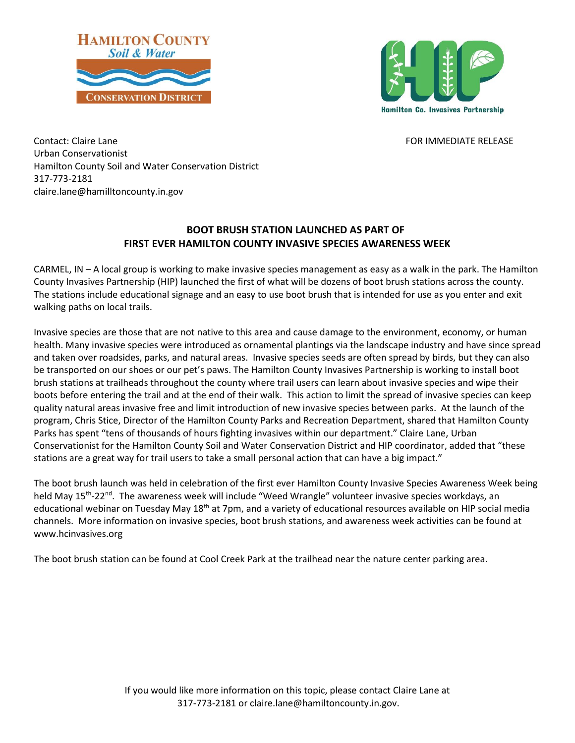



Contact: Claire Lane Formulation of the Formulation of the FOR IMMEDIATE RELEASE Urban Conservationist Hamilton County Soil and Water Conservation District 317-773-2181 claire.lane@hamilltoncounty.in.gov

## **BOOT BRUSH STATION LAUNCHED AS PART OF FIRST EVER HAMILTON COUNTY INVASIVE SPECIES AWARENESS WEEK**

CARMEL, IN – A local group is working to make invasive species management as easy as a walk in the park. The Hamilton County Invasives Partnership (HIP) launched the first of what will be dozens of boot brush stations across the county. The stations include educational signage and an easy to use boot brush that is intended for use as you enter and exit walking paths on local trails.

Invasive species are those that are not native to this area and cause damage to the environment, economy, or human health. Many invasive species were introduced as ornamental plantings via the landscape industry and have since spread and taken over roadsides, parks, and natural areas. Invasive species seeds are often spread by birds, but they can also be transported on our shoes or our pet's paws. The Hamilton County Invasives Partnership is working to install boot brush stations at trailheads throughout the county where trail users can learn about invasive species and wipe their boots before entering the trail and at the end of their walk. This action to limit the spread of invasive species can keep quality natural areas invasive free and limit introduction of new invasive species between parks. At the launch of the program, Chris Stice, Director of the Hamilton County Parks and Recreation Department, shared that Hamilton County Parks has spent "tens of thousands of hours fighting invasives within our department." Claire Lane, Urban Conservationist for the Hamilton County Soil and Water Conservation District and HIP coordinator, added that "these stations are a great way for trail users to take a small personal action that can have a big impact."

The boot brush launch was held in celebration of the first ever Hamilton County Invasive Species Awareness Week being held May 15<sup>th</sup>-22<sup>nd</sup>. The awareness week will include "Weed Wrangle" volunteer invasive species workdays, an educational webinar on Tuesday May 18<sup>th</sup> at 7pm, and a variety of educational resources available on HIP social media channels. More information on invasive species, boot brush stations, and awareness week activities can be found at www.hcinvasives.org

The boot brush station can be found at Cool Creek Park at the trailhead near the nature center parking area.